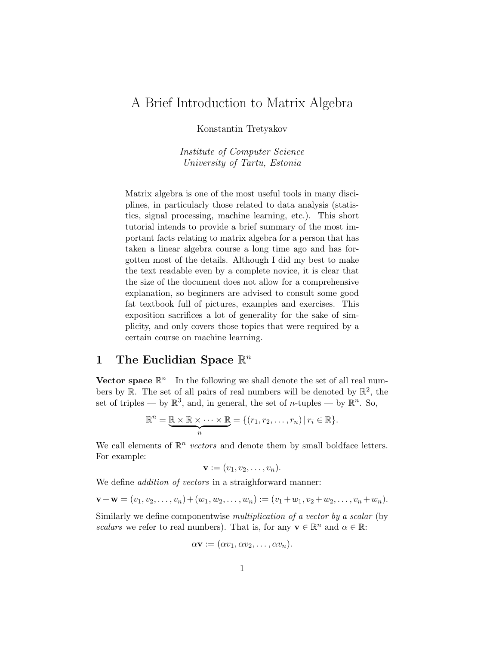## A Brief Introduction to Matrix Algebra

Konstantin Tretyakov

Institute of Computer Science University of Tartu, Estonia

Matrix algebra is one of the most useful tools in many disciplines, in particularly those related to data analysis (statistics, signal processing, machine learning, etc.). This short tutorial intends to provide a brief summary of the most important facts relating to matrix algebra for a person that has taken a linear algebra course a long time ago and has forgotten most of the details. Although I did my best to make the text readable even by a complete novice, it is clear that the size of the document does not allow for a comprehensive explanation, so beginners are advised to consult some good fat textbook full of pictures, examples and exercises. This exposition sacrifices a lot of generality for the sake of simplicity, and only covers those topics that were required by a certain course on machine learning.

# 1 The Euclidian Space  $\mathbb{R}^n$

Vector space  $\mathbb{R}^n$  In the following we shall denote the set of all real numbers by  $\mathbb{R}$ . The set of all pairs of real numbers will be denoted by  $\mathbb{R}^2$ , the set of triples — by  $\mathbb{R}^3$ , and, in general, the set of *n*-tuples — by  $\mathbb{R}^n$ . So,

$$
\mathbb{R}^n = \underbrace{\mathbb{R} \times \mathbb{R} \times \cdots \times \mathbb{R}}_{n} = \{ (r_1, r_2, \ldots, r_n) \mid r_i \in \mathbb{R} \}.
$$

We call elements of  $\mathbb{R}^n$  vectors and denote them by small boldface letters. For example:

$$
\mathbf{v}:=(v_1,v_2,\ldots,v_n).
$$

We define *addition of vectors* in a straighforward manner:

$$
\mathbf{v} + \mathbf{w} = (v_1, v_2, \dots, v_n) + (w_1, w_2, \dots, w_n) := (v_1 + w_1, v_2 + w_2, \dots, v_n + w_n).
$$

Similarly we define componentwise multiplication of a vector by a scalar (by scalars we refer to real numbers). That is, for any  $\mathbf{v} \in \mathbb{R}^n$  and  $\alpha \in \mathbb{R}$ :

$$
\alpha \mathbf{v} := (\alpha v_1, \alpha v_2, \dots, \alpha v_n).
$$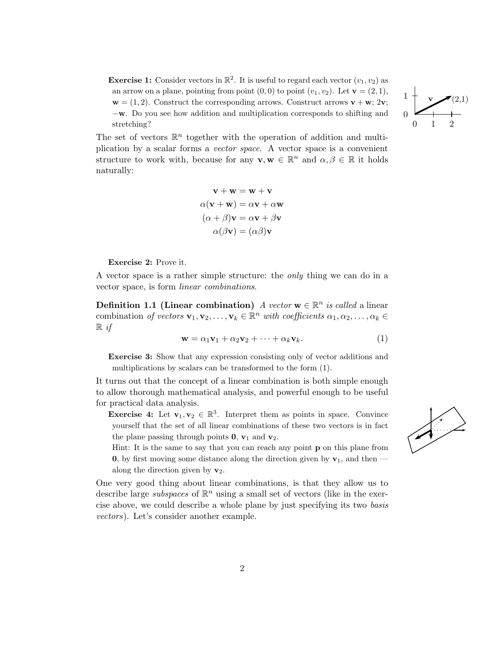**Exercise 1:** Consider vectors in  $\mathbb{R}^2$ . It is useful to regard each vector  $(v_1, v_2)$  as an arrow on a plane, pointing from point  $(0, 0)$  to point  $(v_1, v_2)$ . Let  $\mathbf{v} = (2, 1)$ ,  $\mathbf{w} = (1, 2)$ . Construct the corresponding arrows. Construct arrows  $\mathbf{v} + \mathbf{w}$ ; 2 $\mathbf{v}$ ; −w. Do you see how addition and multiplication corresponds to shifting and stretching?  $0 \t 1 \t 2$ 



The set of vectors  $\mathbb{R}^n$  together with the operation of addition and multiplication by a scalar forms a vector space. A vector space is a convenient structure to work with, because for any  $\mathbf{v}, \mathbf{w} \in \mathbb{R}^n$  and  $\alpha, \beta \in \mathbb{R}$  it holds naturally:

$$
\mathbf{v} + \mathbf{w} = \mathbf{w} + \mathbf{v}
$$

$$
\alpha(\mathbf{v} + \mathbf{w}) = \alpha \mathbf{v} + \alpha \mathbf{w}
$$

$$
(\alpha + \beta)\mathbf{v} = \alpha \mathbf{v} + \beta \mathbf{v}
$$

$$
\alpha(\beta \mathbf{v}) = (\alpha \beta)\mathbf{v}
$$

Exercise 2: Prove it.

A vector space is a rather simple structure: the only thing we can do in a vector space, is form linear combinations.

Definition 1.1 (Linear combination) A vector  $\mathbf{w} \in \mathbb{R}^n$  is called a linear combination of vectors  $\mathbf{v}_1, \mathbf{v}_2, \ldots, \mathbf{v}_k \in \mathbb{R}^n$  with coefficients  $\alpha_1, \alpha_2, \ldots, \alpha_k \in$  $\mathbb{R}$  if

$$
\mathbf{w} = \alpha_1 \mathbf{v}_1 + \alpha_2 \mathbf{v}_2 + \dots + \alpha_k \mathbf{v}_k. \tag{1}
$$

Exercise 3: Show that any expression consisting only of vector additions and multiplications by scalars can be transformed to the form (1).

It turns out that the concept of a linear combination is both simple enough to allow thorough mathematical analysis, and powerful enough to be useful for practical data analysis.

**Exercise 4:** Let  $\mathbf{v}_1, \mathbf{v}_2 \in \mathbb{R}^3$ . Interpret them as points in space. Convince yourself that the set of all linear combinations of these two vectors is in fact the plane passing through points  $\mathbf{0}, \mathbf{v}_1$  and  $\mathbf{v}_2$ .

Hint: It is the same to say that you can reach any point **p** on this plane from 0, by first moving some distance along the direction given by  $v_1$ , and then along the direction given by  $v_2$ .

One very good thing about linear combinations, is that they allow us to describe large *subspaces* of  $\mathbb{R}^n$  using a small set of vectors (like in the exercise above, we could describe a whole plane by just specifying its two basis vectors). Let's consider another example.

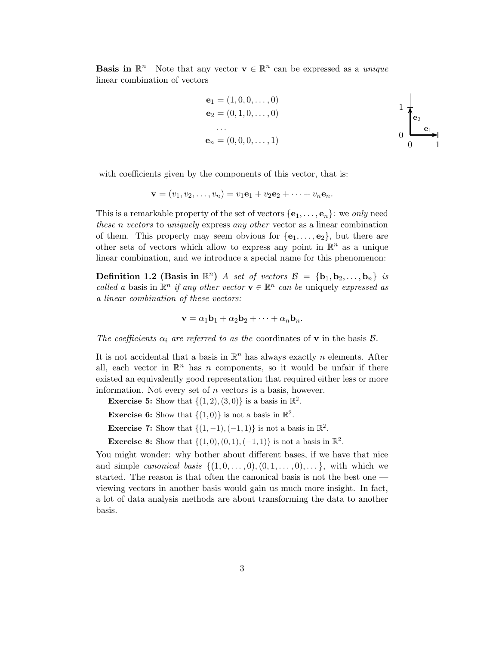**Basis in**  $\mathbb{R}^n$  Note that any vector  $\mathbf{v} \in \mathbb{R}^n$  can be expressed as a *unique* linear combination of vectors

$$
\begin{aligned}\n\mathbf{e}_1 &= (1, 0, 0, \dots, 0) \\
\mathbf{e}_2 &= (0, 1, 0, \dots, 0) \\
&\dots \\
\mathbf{e}_n &= (0, 0, 0, \dots, 1)\n\end{aligned}
$$

with coefficients given by the components of this vector, that is:

$$
\mathbf{v}=(v_1,v_2,\ldots,v_n)=v_1\mathbf{e}_1+v_2\mathbf{e}_2+\cdots+v_n\mathbf{e}_n.
$$

This is a remarkable property of the set of vectors  $\{e_1, \ldots, e_n\}$ : we only need these n vectors to uniquely express any other vector as a linear combination of them. This property may seem obvious for  $\{e_1, \ldots, e_2\}$ , but there are other sets of vectors which allow to express any point in  $\mathbb{R}^n$  as a unique linear combination, and we introduce a special name for this phenomenon:

**Definition 1.2 (Basis in**  $\mathbb{R}^n$ ) A set of vectors  $\mathcal{B} = {\bf{b}}_1, {\bf{b}}_2, \ldots, {\bf{b}}_n$ ) is called a basis in  $\mathbb{R}^n$  if any other vector  $\mathbf{v} \in \mathbb{R}^n$  can be uniquely expressed as a linear combination of these vectors:

$$
\mathbf{v} = \alpha_1 \mathbf{b}_1 + \alpha_2 \mathbf{b}_2 + \dots + \alpha_n \mathbf{b}_n.
$$

The coefficients  $\alpha_i$  are referred to as the coordinates of **v** in the basis  $\mathcal{B}$ .

It is not accidental that a basis in  $\mathbb{R}^n$  has always exactly n elements. After all, each vector in  $\mathbb{R}^n$  has n components, so it would be unfair if there existed an equivalently good representation that required either less or more information. Not every set of n vectors is a basis, however.

**Exercise 5:** Show that  $\{(1, 2), (3, 0)\}$  is a basis in  $\mathbb{R}^2$ .

**Exercise 6:** Show that  $\{(1,0)\}\$ is not a basis in  $\mathbb{R}^2$ .

**Exercise 7:** Show that  $\{(1, -1), (-1, 1)\}$  is not a basis in  $\mathbb{R}^2$ .

**Exercise 8:** Show that  $\{(1,0), (0,1), (-1,1)\}$  is not a basis in  $\mathbb{R}^2$ .

You might wonder: why bother about different bases, if we have that nice and simple *canonical basis*  $\{(1,0,\ldots,0),(0,1,\ldots,0),\ldots\}$ , with which we started. The reason is that often the canonical basis is not the best one viewing vectors in another basis would gain us much more insight. In fact, a lot of data analysis methods are about transforming the data to another basis.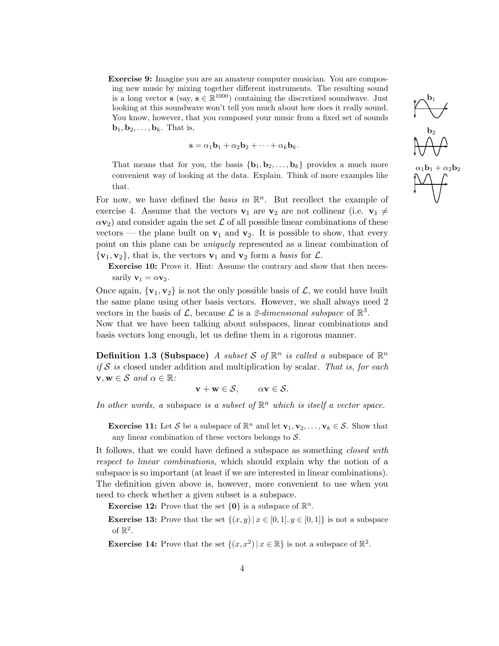Exercise 9: Imagine you are an amateur computer musician. You are composing new music by mixing together different instruments. The resulting sound is a long vector s (say,  $s \in \mathbb{R}^{1000}$ ) containing the discretized soundwave. Just looking at this soundwave won't tell you much about how does it really sound. You know, however, that you composed your music from a fixed set of sounds  $\mathbf{b}_1, \mathbf{b}_2, \ldots, \mathbf{b}_k$ . That is,

$$
\mathbf{s} = \alpha_1 \mathbf{b}_1 + \alpha_2 \mathbf{b}_2 + \cdots + \alpha_k \mathbf{b}_k.
$$

That means that for you, the basis  ${\bf \{b_1, b_2, \ldots, b_k\}}$  provides a much more convenient way of looking at the data. Explain. Think of more examples like that.

For now, we have defined the *basis in*  $\mathbb{R}^n$ . But recollect the example of exercise 4. Assume that the vectors  $v_1$  are  $v_2$  are not collinear (i.e.  $v_1 \neq$  $\alpha v_2$ ) and consider again the set  $\mathcal L$  of all possible linear combinations of these vectors — the plane built on  $v_1$  and  $v_2$ . It is possible to show, that every point on this plane can be *uniquely* represented as a linear combination of  $\{v_1, v_2\}$ , that is, the vectors  $v_1$  and  $v_2$  form a basis for  $\mathcal{L}$ .

Exercise 10: Prove it. Hint: Assume the contrary and show that then necessarily  $\mathbf{v}_1 = \alpha \mathbf{v}_2$ .

Once again,  $\{v_1, v_2\}$  is not the only possible basis of  $\mathcal{L}$ , we could have built the same plane using other basis vectors. However, we shall always need 2 vectors in the basis of  $\mathcal{L}$ , because  $\mathcal{L}$  is a 2-dimensional subspace of  $\mathbb{R}^3$ .

Now that we have been talking about subspaces, linear combinations and basis vectors long enough, let us define them in a rigorous manner.

**Definition 1.3 (Subspace)** A subset S of  $\mathbb{R}^n$  is called a subspace of  $\mathbb{R}^n$ if S is closed under addition and multiplication by scalar. That is, for each  $\mathbf{v}, \mathbf{w} \in \mathcal{S}$  and  $\alpha \in \mathbb{R}$ :

 $\mathbf{v} + \mathbf{w} \in \mathcal{S}$ ,  $\alpha \mathbf{v} \in \mathcal{S}$ .

In other words, a subspace is a subset of  $\mathbb{R}^n$  which is itself a vector space.

**Exercise 11:** Let S be a subspace of  $\mathbb{R}^n$  and let  $\mathbf{v}_1, \mathbf{v}_2, \ldots, \mathbf{v}_k \in \mathcal{S}$ . Show that any linear combination of these vectors belongs to  $S$ .

It follows, that we could have defined a subspace as something closed with respect to linear combinations, which should explain why the notion of a subspace is so important (at least if we are interested in linear combinations). The definition given above is, however, more convenient to use when you need to check whether a given subset is a subspace.

**Exercise 12:** Prove that the set  $\{0\}$  is a subspace of  $\mathbb{R}^n$ .

**Exercise 13:** Prove that the set  $\{(x, y) | x \in [0, 1], y \in [0, 1]\}$  is not a subspace of  $\mathbb{R}^2$ .

**Exercise 14:** Prove that the set  $\{(x, x^2) | x \in \mathbb{R}\}\)$  is not a subspace of  $\mathbb{R}^2$ .

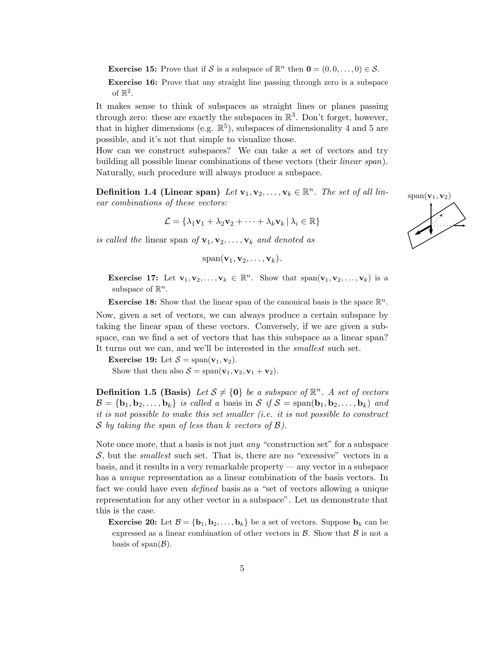**Exercise 15:** Prove that if S is a subspace of  $\mathbb{R}^n$  then  $\mathbf{0} = (0, 0, \dots, 0) \in \mathcal{S}$ .

Exercise 16: Prove that any straight line passing through zero is a subspace of  $\mathbb{R}^2$ .

It makes sense to think of subspaces as straight lines or planes passing through zero: these are exactly the subspaces in  $\mathbb{R}^3$ . Don't forget, however, that in higher dimensions (e.g.  $\mathbb{R}^5$ ), subspaces of dimensionality 4 and 5 are possible, and it's not that simple to visualize those.

How can we construct subspaces? We can take a set of vectors and try building all possible linear combinations of these vectors (their linear span). Naturally, such procedure will always produce a subspace.

**Definition 1.4 (Linear span)** Let  $\mathbf{v}_1, \mathbf{v}_2, \ldots, \mathbf{v}_k \in \mathbb{R}^n$ . The set of all linear combinations of these vectors:

$$
\mathcal{L} = \{ \lambda_1 \mathbf{v}_1 + \lambda_2 \mathbf{v}_2 + \dots + \lambda_k \mathbf{v}_k \, | \, \lambda_i \in \mathbb{R} \}
$$

is called the linear span of  $\mathbf{v}_1, \mathbf{v}_2, \ldots, \mathbf{v}_k$  and denoted as

$$
\mathrm{span}(\mathbf{v}_1, \mathbf{v}_2, \ldots, \mathbf{v}_k).
$$

**Exercise 17:** Let  $\mathbf{v}_1, \mathbf{v}_2, \ldots, \mathbf{v}_k \in \mathbb{R}^n$ . Show that  $\text{span}(\mathbf{v}_1, \mathbf{v}_2, \ldots, \mathbf{v}_k)$  is a subspace of  $\mathbb{R}^n$ .

**Exercise 18:** Show that the linear span of the canonical basis is the space  $\mathbb{R}^n$ .

Now, given a set of vectors, we can always produce a certain subspace by taking the linear span of these vectors. Conversely, if we are given a subspace, can we find a set of vectors that has this subspace as a linear span? It turns out we can, and we'll be interested in the smallest such set.

Exercise 19: Let  $S = \text{span}(\mathbf{v}_1, \mathbf{v}_2)$ .

Show that then also  $S = \text{span}(\mathbf{v}_1, \mathbf{v}_2, \mathbf{v}_1 + \mathbf{v}_2).$ 

**Definition 1.5 (Basis)** Let  $S \neq \{0\}$  be a subspace of  $\mathbb{R}^n$ . A set of vectors  $\mathcal{B} = \{b_1, b_2, \ldots, b_k\}$  is called a basis in  $\mathcal{S}$  if  $\mathcal{S} = \text{span}(b_1, b_2, \ldots, b_k)$  and it is not possible to make this set smaller (i.e. it is not possible to construct S by taking the span of less than k vectors of  $\mathcal{B}$ ).

Note once more, that a basis is not just any "construction set" for a subspace  $S$ , but the *smallest* such set. That is, there are no "excessive" vectors in a basis, and it results in a very remarkable property — any vector in a subspace has a *unique* representation as a linear combination of the basis vectors. In fact we could have even *defined* basis as a "set of vectors allowing a unique representation for any other vector in a subspace". Let us demonstrate that this is the case.

**Exercise 20:** Let  $\mathcal{B} = \{b_1, b_2, \ldots, b_k\}$  be a set of vectors. Suppose  $b_k$  can be expressed as a linear combination of other vectors in  $\beta$ . Show that  $\beta$  is not a basis of span $(\mathcal{B})$ .

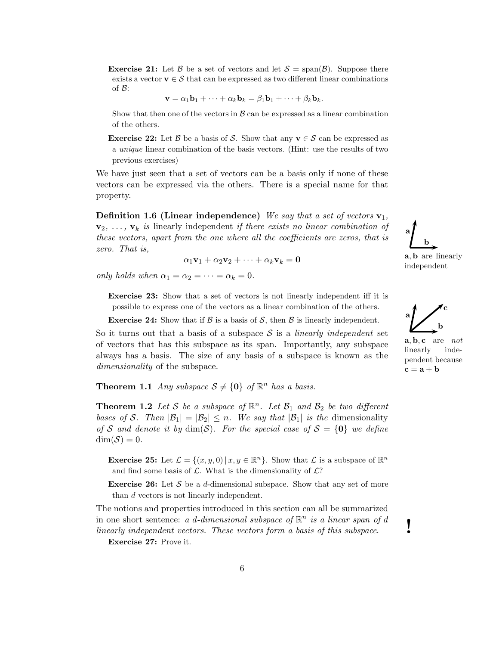**Exercise 21:** Let B be a set of vectors and let  $S = \text{span}(\mathcal{B})$ . Suppose there exists a vector  $\mathbf{v} \in \mathcal{S}$  that can be expressed as two different linear combinations of  $\mathcal{B}$ :

$$
\mathbf{v} = \alpha_1 \mathbf{b}_1 + \cdots + \alpha_k \mathbf{b}_k = \beta_1 \mathbf{b}_1 + \cdots + \beta_k \mathbf{b}_k.
$$

Show that then one of the vectors in  $\beta$  can be expressed as a linear combination of the others.

**Exercise 22:** Let  $\beta$  be a basis of S. Show that any  $\mathbf{v} \in \mathcal{S}$  can be expressed as a unique linear combination of the basis vectors. (Hint: use the results of two previous exercises)

We have just seen that a set of vectors can be a basis only if none of these vectors can be expressed via the others. There is a special name for that property.

**Definition 1.6 (Linear independence)** We say that a set of vectors  $\mathbf{v}_1$ ,  $\mathbf{v}_2, \ldots, \mathbf{v}_k$  is linearly independent if there exists no linear combination of these vectors, apart from the one where all the coefficients are zeros, that is zero. That is,

$$
\alpha_1\mathbf{v}_1+\alpha_2\mathbf{v}_2+\cdots+\alpha_k\mathbf{v}_k=\mathbf{0}
$$

only holds when  $\alpha_1 = \alpha_2 = \cdots = \alpha_k = 0$ .

Exercise 23: Show that a set of vectors is not linearly independent iff it is possible to express one of the vectors as a linear combination of the others.

**Exercise 24:** Show that if  $\beta$  is a basis of  $\beta$ , then  $\beta$  is linearly independent.

So it turns out that a basis of a subspace S is a *linearly independent* set of vectors that has this subspace as its span. Importantly, any subspace always has a basis. The size of any basis of a subspace is known as the dimensionality of the subspace.

**Theorem 1.1** Any subspace  $S \neq \{0\}$  of  $\mathbb{R}^n$  has a basis.

**Theorem 1.2** Let S be a subspace of  $\mathbb{R}^n$ . Let  $\mathcal{B}_1$  and  $\mathcal{B}_2$  be two different bases of S. Then  $|\mathcal{B}_1| = |\mathcal{B}_2| \leq n$ . We say that  $|\mathcal{B}_1|$  is the dimensionality of S and denote it by  $\dim(S)$ . For the special case of  $S = \{0\}$  we define  $\dim(\mathcal{S})=0.$ 

**Exercise 25:** Let  $\mathcal{L} = \{(x, y, 0) | x, y \in \mathbb{R}^n\}$ . Show that  $\mathcal{L}$  is a subspace of  $\mathbb{R}^n$ and find some basis of  $\mathcal{L}$ . What is the dimensionality of  $\mathcal{L}$ ?

**Exercise 26:** Let S be a d-dimensional subspace. Show that any set of more than d vectors is not linearly independent.

The notions and properties introduced in this section can all be summarized in one short sentence: a d-dimensional subspace of  $\mathbb{R}^n$  is a linear span of d linearly independent vectors. These vectors form a basis of this subspace.

Exercise 27: Prove it.

b a a, b are linearly

independent

b a c

 $\mathbf{a}, \mathbf{b}, \mathbf{c}$  are not linearly independent because  $c = a + b$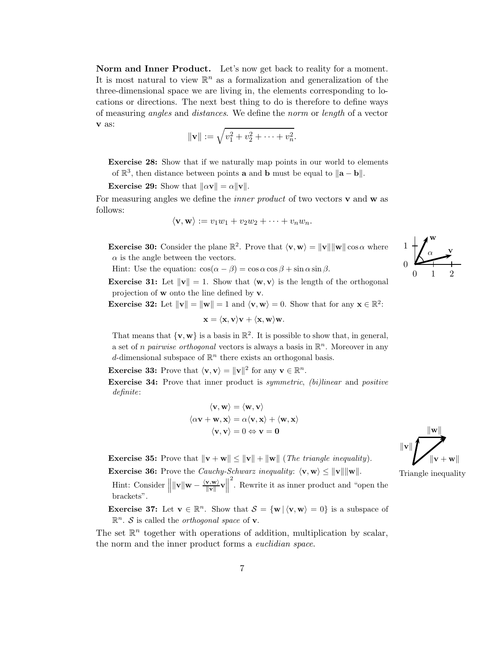Norm and Inner Product. Let's now get back to reality for a moment. It is most natural to view  $\mathbb{R}^n$  as a formalization and generalization of the three-dimensional space we are living in, the elements corresponding to locations or directions. The next best thing to do is therefore to define ways of measuring angles and distances. We define the norm or length of a vector v as:

$$
\|\mathbf{v}\| := \sqrt{v_1^2 + v_2^2 + \cdots + v_n^2}.
$$

Exercise 28: Show that if we naturally map points in our world to elements of  $\mathbb{R}^3$ , then distance between points **a** and **b** must be equal to  $\|\mathbf{a} - \mathbf{b}\|$ .

**Exercise 29:** Show that  $\|\alpha \mathbf{v}\| = \alpha \|\mathbf{v}\|.$ 

For measuring angles we define the *inner product* of two vectors  $\bf{v}$  and  $\bf{w}$  as follows:

$$
\langle \mathbf{v}, \mathbf{w} \rangle := v_1 w_1 + v_2 w_2 + \cdots + v_n w_n.
$$

**Exercise 30:** Consider the plane  $\mathbb{R}^2$ . Prove that  $\langle v, w \rangle = ||v|| ||w|| \cos \alpha$  where  $\alpha$  is the angle between the vectors.

Hint: Use the equation:  $\cos(\alpha - \beta) = \cos \alpha \cos \beta + \sin \alpha \sin \beta$ .

**Exercise 31:** Let  $\|\mathbf{v}\| = 1$ . Show that  $\langle \mathbf{w}, \mathbf{v} \rangle$  is the length of the orthogonal projection of w onto the line defined by v.

**Exercise 32:** Let  $\|\mathbf{v}\| = \|\mathbf{w}\| = 1$  and  $\langle \mathbf{v}, \mathbf{w} \rangle = 0$ . Show that for any  $\mathbf{x} \in \mathbb{R}^2$ :

$$
\mathbf{x} = \langle \mathbf{x}, \mathbf{v} \rangle \mathbf{v} + \langle \mathbf{x}, \mathbf{w} \rangle \mathbf{w}.
$$

That means that  $\{v, w\}$  is a basis in  $\mathbb{R}^2$ . It is possible to show that, in general, a set of *n pairwise orthogonal* vectors is always a basis in  $\mathbb{R}^n$ . Moreover in any d-dimensional subspace of  $\mathbb{R}^n$  there exists an orthogonal basis.

**Exercise 33:** Prove that  $\langle \mathbf{v}, \mathbf{v} \rangle = ||\mathbf{v}||^2$  for any  $\mathbf{v} \in \mathbb{R}^n$ .

**Exercise 34:** Prove that inner product is *symmetric*, *(bi)linear* and *positive* definite:

$$
\langle \mathbf{v}, \mathbf{w} \rangle = \langle \mathbf{w}, \mathbf{v} \rangle
$$

$$
\langle \alpha \mathbf{v} + \mathbf{w}, \mathbf{x} \rangle = \alpha \langle \mathbf{v}, \mathbf{x} \rangle + \langle \mathbf{w}, \mathbf{x} \rangle
$$

$$
\langle \mathbf{v}, \mathbf{v} \rangle = 0 \Leftrightarrow \mathbf{v} = \mathbf{0}
$$

**Exercise 35:** Prove that  $\|\mathbf{v} + \mathbf{w}\| \leq \|\mathbf{v}\| + \|\mathbf{w}\|$  (*The triangle inequality*). **Exercise 36:** Prove the *Cauchy-Schwarz inequality:*  $\langle v, w \rangle \le ||v|| ||w||$ . Triangle inequality

Hint: Consider  $\|\|\mathbf{v}\|\mathbf{w} - \frac{\langle \mathbf{v}, \mathbf{w} \rangle}{\|\mathbf{v}\|}$  $\frac{\mathbf{v}, \mathbf{w}}{\|\mathbf{v}\|} \mathbf{v}$ 2 . Rewrite it as inner product and "open the brackets".

**Exercise 37:** Let  $\mathbf{v} \in \mathbb{R}^n$ . Show that  $\mathcal{S} = {\mathbf{w} | \langle \mathbf{v}, \mathbf{w} \rangle = 0}$  is a subspace of  $\mathbb{R}^n$ . S is called the *orthogonal space* of **v**.

The set  $\mathbb{R}^n$  together with operations of addition, multiplication by scalar, the norm and the inner product forms a *euclidian space*.



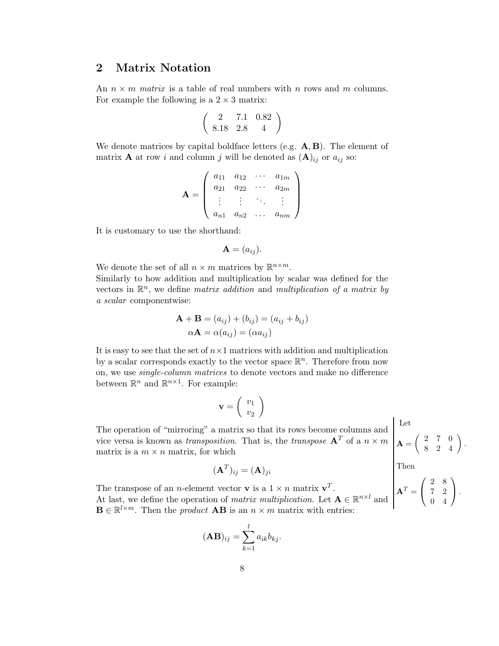### 2 Matrix Notation

An  $n \times m$  matrix is a table of real numbers with n rows and m columns. For example the following is a  $2 \times 3$  matrix:

$$
\left(\begin{array}{ccc}2&7.1&0.82\\8.18&2.8&4\end{array}\right)
$$

We denote matrices by capital boldface letters (e.g.  $\mathbf{A}, \mathbf{B}$ ). The element of matrix **A** at row *i* and column *j* will be denoted as  $(A)_{ij}$  or  $a_{ij}$  so:

$$
\mathbf{A} = \left( \begin{array}{cccc} a_{11} & a_{12} & \cdots & a_{1m} \\ a_{21} & a_{22} & \cdots & a_{2m} \\ \vdots & \vdots & \ddots & \vdots \\ a_{n1} & a_{n2} & \cdots & a_{nm} \end{array} \right)
$$

It is customary to use the shorthand:

$$
\mathbf{A}=(a_{ij}).
$$

We denote the set of all  $n \times m$  matrices by  $\mathbb{R}^{n \times m}$ . Similarly to how addition and multiplication by scalar was defined for the vectors in  $\mathbb{R}^n$ , we define *matrix addition* and *multiplication of a matrix by* a scalar componentwise:

$$
\mathbf{A} + \mathbf{B} = (a_{ij}) + (b_{ij}) = (a_{ij} + b_{ij})
$$

$$
\alpha \mathbf{A} = \alpha(a_{ij}) = (\alpha a_{ij})
$$

It is easy to see that the set of  $n \times 1$  matrices with addition and multiplication by a scalar corresponds exactly to the vector space  $\mathbb{R}^n$ . Therefore from now on, we use single-column matrices to denote vectors and make no difference between  $\mathbb{R}^n$  and  $\mathbb{R}^{n \times 1}$ . For example:

$$
\mathbf{v} = \left(\begin{array}{c} v_1 \\ v_2 \end{array}\right)
$$

The operation of "mirroring" a matrix so that its rows become columns and vice versa is known as *transposition*. That is, the *transpose*  $A<sup>T</sup>$  of a  $n \times m$ matrix is a  $m \times n$  matrix, for which

$$
(\mathbf{A}^T)_{ij} = (\mathbf{A})_{ji}
$$

The transpose of an *n*-element vector **v** is a  $1 \times n$  matrix **v**<sup>T</sup>. At last, we define the operation of *matrix multiplication*. Let  $\mathbf{A} \in \mathbb{R}^{n \times l}$  and  $\mathbf{B} \in \mathbb{R}^{l \times m}$ . Then the *product*  $\mathbf{A}\mathbf{B}$  is an  $n \times m$  matrix with entries:

$$
(\mathbf{AB})_{ij} = \sum_{k=1}^{l} a_{ik} b_{kj}.
$$

Let  $\mathbf{A} = \left( \begin{array}{ccc} 2 & 7 & 0 \ 8 & 2 & 4 \end{array} \right).$ Then

$$
\mathbf{A}^T = \left(\begin{array}{cc} 2 & 8 \\ 7 & 2 \\ 0 & 4 \end{array}\right).
$$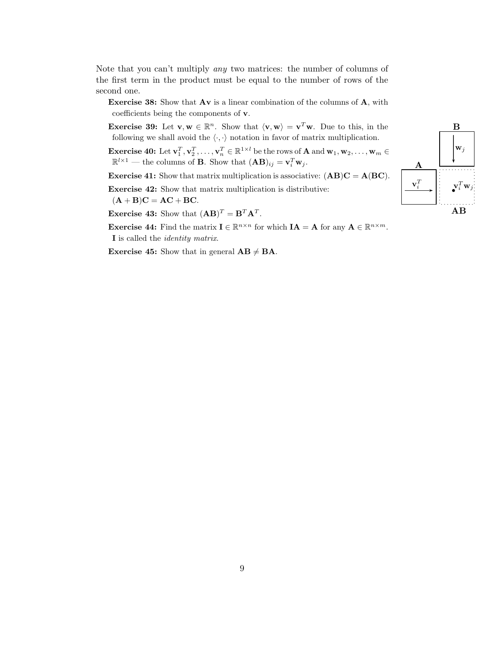Note that you can't multiply any two matrices: the number of columns of the first term in the product must be equal to the number of rows of the second one.

Exercise 38: Show that Av is a linear combination of the columns of A, with coefficients being the components of v.

**Exercise 39:** Let  $\mathbf{v}, \mathbf{w} \in \mathbb{R}^n$ . Show that  $\langle \mathbf{v}, \mathbf{w} \rangle = \mathbf{v}^T \mathbf{w}$ . Due to this, in the following we shall avoid the  $\langle \cdot, \cdot \rangle$  notation in favor of matrix multiplication.

**Exercise 40:** Let  $\mathbf{v}_1^T, \mathbf{v}_2^T, \ldots, \mathbf{v}_n^T \in \mathbb{R}^{1 \times l}$  be the rows of **A** and  $\mathbf{w}_1, \mathbf{w}_2, \ldots, \mathbf{w}_m \in$  $\mathbb{R}^{l \times 1}$  — the columns of **B**. Show that  $(AB)_{ij} = \mathbf{v}_i^T \mathbf{w}_j$ .

**Exercise 41:** Show that matrix multiplication is associative:  $(AB)C = A(BC)$ .

Exercise 42: Show that matrix multiplication is distributive:

 $(A + B)C = AC + BC.$ 

**Exercise 43:** Show that  $(AB)^T = B^T A^T$ .

**Exercise 44:** Find the matrix  $I \in \mathbb{R}^{n \times n}$  for which  $IA = A$  for any  $A \in \mathbb{R}^{n \times m}$ . I is called the identity matrix.

**Exercise 45:** Show that in general  $AB \neq BA$ .

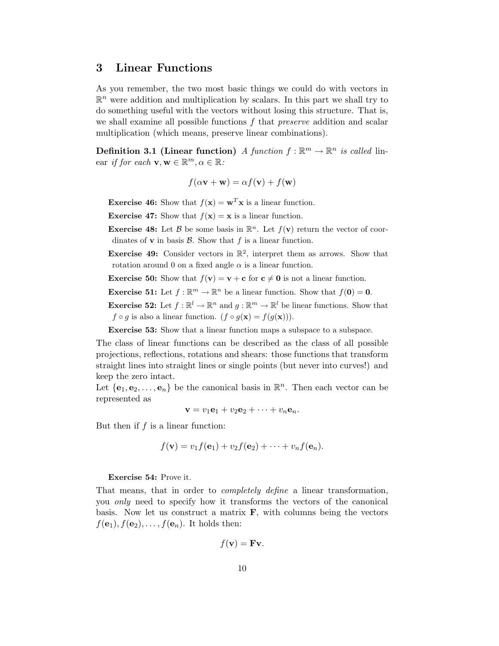### 3 Linear Functions

As you remember, the two most basic things we could do with vectors in  $\mathbb{R}^n$  were addition and multiplication by scalars. In this part we shall try to do something useful with the vectors without losing this structure. That is, we shall examine all possible functions f that *preserve* addition and scalar multiplication (which means, preserve linear combinations).

**Definition 3.1 (Linear function)** A function  $f : \mathbb{R}^m \to \mathbb{R}^n$  is called linear *if for each*  $\mathbf{v}, \mathbf{w} \in \mathbb{R}^m, \alpha \in \mathbb{R}$ :

$$
f(\alpha \mathbf{v} + \mathbf{w}) = \alpha f(\mathbf{v}) + f(\mathbf{w})
$$

**Exercise 46:** Show that  $f(\mathbf{x}) = \mathbf{w}^T \mathbf{x}$  is a linear function.

**Exercise 47:** Show that  $f(\mathbf{x}) = \mathbf{x}$  is a linear function.

**Exercise 48:** Let  $\beta$  be some basis in  $\mathbb{R}^n$ . Let  $f(\mathbf{v})$  return the vector of coordinates of  $\bf{v}$  in basis  $\beta$ . Show that  $f$  is a linear function.

**Exercise 49:** Consider vectors in  $\mathbb{R}^2$ , interpret them as arrows. Show that rotation around 0 on a fixed angle  $\alpha$  is a linear function.

**Exercise 50:** Show that  $f(\mathbf{v}) = \mathbf{v} + \mathbf{c}$  for  $\mathbf{c} \neq \mathbf{0}$  is not a linear function.

**Exercise 51:** Let  $f : \mathbb{R}^m \to \mathbb{R}^n$  be a linear function. Show that  $f(\mathbf{0}) = \mathbf{0}$ .

**Exercise 52:** Let  $f : \mathbb{R}^l \to \mathbb{R}^n$  and  $g : \mathbb{R}^m \to \mathbb{R}^l$  be linear functions. Show that  $f \circ g$  is also a linear function.  $(f \circ g(\mathbf{x})) = f(g(\mathbf{x})).$ 

**Exercise 53:** Show that a linear function maps a subspace to a subspace.

The class of linear functions can be described as the class of all possible projections, reflections, rotations and shears: those functions that transform straight lines into straight lines or single points (but never into curves!) and keep the zero intact.

Let  $\{e_1, e_2, \ldots, e_n\}$  be the canonical basis in  $\mathbb{R}^n$ . Then each vector can be represented as

$$
\mathbf{v} = v_1 \mathbf{e}_1 + v_2 \mathbf{e}_2 + \cdots + v_n \mathbf{e}_n.
$$

But then if  $f$  is a linear function:

$$
f(\mathbf{v}) = v_1 f(\mathbf{e}_1) + v_2 f(\mathbf{e}_2) + \cdots + v_n f(\mathbf{e}_n).
$$

#### Exercise 54: Prove it.

That means, that in order to completely define a linear transformation, you only need to specify how it transforms the vectors of the canonical basis. Now let us construct a matrix  $\bf{F}$ , with columns being the vectors  $f(\mathbf{e}_1), f(\mathbf{e}_2), \ldots, f(\mathbf{e}_n)$ . It holds then:

$$
f(\mathbf{v}) = \mathbf{F}\mathbf{v}.
$$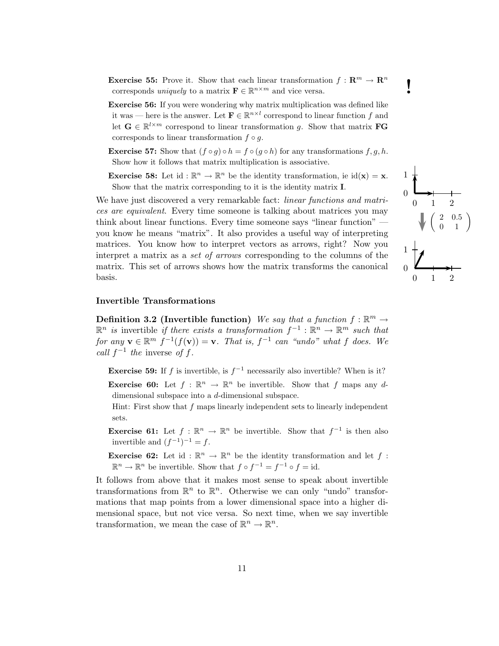**Exercise 55:** Prove it. Show that each linear transformation  $f : \mathbb{R}^m \to \mathbb{R}^n$  corresponds *uniquely* to a matrix  $\mathbf{F} \in \mathbb{R}^{n \times m}$  and vice versa. corresponds *uniquely* to a matrix  $\mathbf{F} \in \mathbb{R}^{n \times m}$  and vice versa.

- Exercise 56: If you were wondering why matrix multiplication was defined like it was — here is the answer. Let  $\mathbf{F} \in \mathbb{R}^{n \times l}$  correspond to linear function f and let  $\mathbf{G} \in \mathbb{R}^{l \times m}$  correspond to linear transformation g. Show that matrix **FG** corresponds to linear transformation  $f \circ q$ .
- **Exercise 57:** Show that  $(f \circ g) \circ h = f \circ (g \circ h)$  for any transformations  $f, g, h$ . Show how it follows that matrix multiplication is associative.
- **Exercise 58:** Let id:  $\mathbb{R}^n \to \mathbb{R}^n$  be the identity transformation, ie  $id(\mathbf{x}) = \mathbf{x}$ . Show that the matrix corresponding to it is the identity matrix I.

We have just discovered a very remarkable fact: *linear functions and matri*ces are equivalent. Every time someone is talking about matrices you may think about linear functions. Every time someone says "linear function" you know he means "matrix". It also provides a useful way of interpreting matrices. You know how to interpret vectors as arrows, right? Now you interpret a matrix as a set of arrows corresponding to the columns of the matrix. This set of arrows shows how the matrix transforms the canonical basis.

#### Invertible Transformations

Definition 3.2 (Invertible function) We say that a function  $f : \mathbb{R}^m \to$  $\mathbb{R}^n$  is invertible if there exists a transformation  $f^{-1}: \mathbb{R}^n \to \mathbb{R}^m$  such that for any  $\mathbf{v} \in \mathbb{R}^m$   $f^{-1}(f(\mathbf{v})) = \mathbf{v}$ . That is,  $f^{-1}$  can "undo" what f does. We call  $f^{-1}$  the inverse of f.

**Exercise 59:** If f is invertible, is  $f^{-1}$  necessarily also invertible? When is it? **Exercise 60:** Let  $f : \mathbb{R}^n \to \mathbb{R}^n$  be invertible. Show that f maps any d-

dimensional subspace into a d-dimensional subspace.

Hint: First show that f maps linearly independent sets to linearly independent sets.

**Exercise 61:** Let  $f : \mathbb{R}^n \to \mathbb{R}^n$  be invertible. Show that  $f^{-1}$  is then also invertible and  $(f^{-1})^{-1} = f$ .

**Exercise 62:** Let id:  $\mathbb{R}^n \to \mathbb{R}^n$  be the identity transformation and let f:  $\mathbb{R}^n \to \mathbb{R}^n$  be invertible. Show that  $f \circ f^{-1} = f^{-1} \circ f = id$ .

It follows from above that it makes most sense to speak about invertible transformations from  $\mathbb{R}^n$  to  $\mathbb{R}^n$ . Otherwise we can only "undo" transformations that map points from a lower dimensional space into a higher dimensional space, but not vice versa. So next time, when we say invertible transformation, we mean the case of  $\mathbb{R}^n \to \mathbb{R}^n$ .

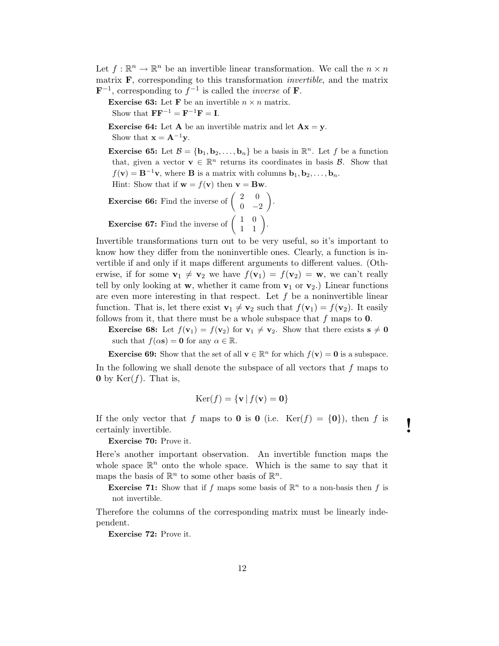Let  $f: \mathbb{R}^n \to \mathbb{R}^n$  be an invertible linear transformation. We call the  $n \times n$ matrix  $\bf{F}$ , corresponding to this transformation *invertible*, and the matrix  $\mathbf{F}^{-1}$ , corresponding to  $f^{-1}$  is called the *inverse* of **F**.

**Exercise 63:** Let **F** be an invertible  $n \times n$  matrix.

Show that  $\mathbf{F} \mathbf{F}^{-1} = \mathbf{F}^{-1} \mathbf{F} = \mathbf{I}.$ 

**Exercise 64:** Let **A** be an invertible matrix and let  $Ax = y$ . Show that  $\mathbf{x} = \mathbf{A}^{-1} \mathbf{v}$ .

**Exercise 65:** Let  $\mathcal{B} = {\mathbf{b}_1, \mathbf{b}_2, ..., \mathbf{b}_n}$  be a basis in  $\mathbb{R}^n$ . Let f be a function that, given a vector  $\mathbf{v} \in \mathbb{R}^n$  returns its coordinates in basis  $\mathcal{B}$ . Show that  $f(\mathbf{v}) = \mathbf{B}^{-1}\mathbf{v}$ , where **B** is a matrix with columns  $\mathbf{b}_1, \mathbf{b}_2, \ldots, \mathbf{b}_n$ .

Hint: Show that if  $\mathbf{w} = f(\mathbf{v})$  then  $\mathbf{v} = \mathbf{B}\mathbf{w}$ .

**Exercise 66:** Find the inverse of  $\begin{pmatrix} 2 & 0 \\ 0 & 0 \end{pmatrix}$  $0 -2$  . **Exercise 67:** Find the inverse of  $\begin{pmatrix} 1 & 0 \\ 1 & 1 \end{pmatrix}$ .

Invertible transformations turn out to be very useful, so it's important to know how they differ from the noninvertible ones. Clearly, a function is invertible if and only if it maps different arguments to different values. (Otherwise, if for some  $\mathbf{v}_1 \neq \mathbf{v}_2$  we have  $f(\mathbf{v}_1) = f(\mathbf{v}_2) = \mathbf{w}$ , we can't really tell by only looking at w, whether it came from  $v_1$  or  $v_2$ .) Linear functions are even more interesting in that respect. Let  $f$  be a noninvertible linear function. That is, let there exist  $\mathbf{v}_1 \neq \mathbf{v}_2$  such that  $f(\mathbf{v}_1) = f(\mathbf{v}_2)$ . It easily follows from it, that there must be a whole subspace that  $f$  maps to  $0$ .

**Exercise 68:** Let  $f(\mathbf{v}_1) = f(\mathbf{v}_2)$  for  $\mathbf{v}_1 \neq \mathbf{v}_2$ . Show that there exists  $\mathbf{s} \neq \mathbf{0}$ such that  $f(\alpha s) = 0$  for any  $\alpha \in \mathbb{R}$ .

**Exercise 69:** Show that the set of all  $\mathbf{v} \in \mathbb{R}^n$  for which  $f(\mathbf{v}) = \mathbf{0}$  is a subspace. In the following we shall denote the subspace of all vectors that  $f$  maps to **0** by  $\text{Ker}(f)$ . That is,

$$
Ker(f) = \{ \mathbf{v} \mid f(\mathbf{v}) = \mathbf{0} \}
$$

If the only vector that f maps to **0** is **0** (i.e.  $\text{Ker}(f) = \{0\}$ ), then f is certainly invertible.

Exercise 70: Prove it.

Here's another important observation. An invertible function maps the whole space  $\mathbb{R}^n$  onto the whole space. Which is the same to say that it maps the basis of  $\mathbb{R}^n$  to some other basis of  $\mathbb{R}^n$ .

**Exercise 71:** Show that if f maps some basis of  $\mathbb{R}^n$  to a non-basis then f is not invertible.

Therefore the columns of the corresponding matrix must be linearly independent.

Exercise 72: Prove it.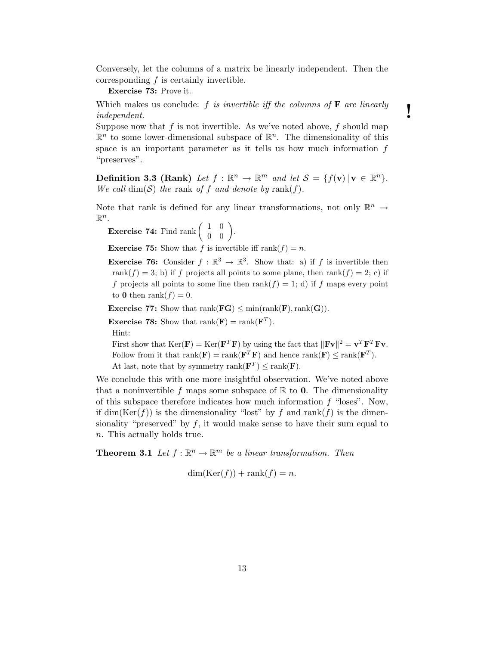Conversely, let the columns of a matrix be linearly independent. Then the corresponding  $f$  is certainly invertible.

Exercise 73: Prove it.

Which makes us conclude:  $f$  is invertible iff the columns of  $\mathbf F$  are linearly  $\blacksquare$ 

Suppose now that f is not invertible. As we've noted above, f should map  $\mathbb{R}^n$  to some lower-dimensional subspace of  $\mathbb{R}^n$ . The dimensionality of this space is an important parameter as it tells us how much information f "preserves".

Definition 3.3 (Rank) Let  $f : \mathbb{R}^n \to \mathbb{R}^m$  and let  $S = \{f(\mathbf{v}) | \mathbf{v} \in \mathbb{R}^n\}$ . We call  $\dim(\mathcal{S})$  the rank of f and denote by rank(f).

Note that rank is defined for any linear transformations, not only  $\mathbb{R}^n \to$  $\mathbb{R}^n$ .

**Exercise 74:** Find rank  $\begin{pmatrix} 1 & 0 \\ 0 & 0 \end{pmatrix}$ .

**Exercise 75:** Show that f is invertible iff rank $(f) = n$ .

**Exercise 76:** Consider  $f : \mathbb{R}^3 \to \mathbb{R}^3$ . Show that: a) if f is invertible then rank $(f) = 3$ ; b) if f projects all points to some plane, then rank $(f) = 2$ ; c) if f projects all points to some line then  $rank(f) = 1$ ; d) if f maps every point to 0 then rank $(f) = 0$ .

**Exercise 77:** Show that  $rank(\mathbf{FG}) \leq min(rank(\mathbf{F}),rank(\mathbf{G}))$ .

**Exercise 78:** Show that  $\text{rank}(\mathbf{F}) = \text{rank}(\mathbf{F}^T)$ .

Hint:

First show that  $\text{Ker}(\mathbf{F}) = \text{Ker}(\mathbf{F}^T\mathbf{F})$  by using the fact that  $\|\mathbf{Fv}\|^2 = \mathbf{v}^T\mathbf{F}^T\mathbf{Fv}$ . Follow from it that  $rank(\mathbf{F}) = rank(\mathbf{F}^T \mathbf{F})$  and hence  $rank(\mathbf{F}) \le rank(\mathbf{F}^T)$ . At last, note that by symmetry rank $(\mathbf{F}^T) \leq \text{rank}(\mathbf{F})$ .

We conclude this with one more insightful observation. We've noted above that a noninvertible f maps some subspace of  $\mathbb R$  to 0. The dimensionality of this subspace therefore indicates how much information  $f$  "loses". Now, if  $\dim(\text{Ker}(f))$  is the dimensionality "lost" by f and rank(f) is the dimensionality "preserved" by  $f$ , it would make sense to have their sum equal to n. This actually holds true.

**Theorem 3.1** Let  $f : \mathbb{R}^n \to \mathbb{R}^m$  be a linear transformation. Then

$$
\dim(\text{Ker}(f)) + \text{rank}(f) = n.
$$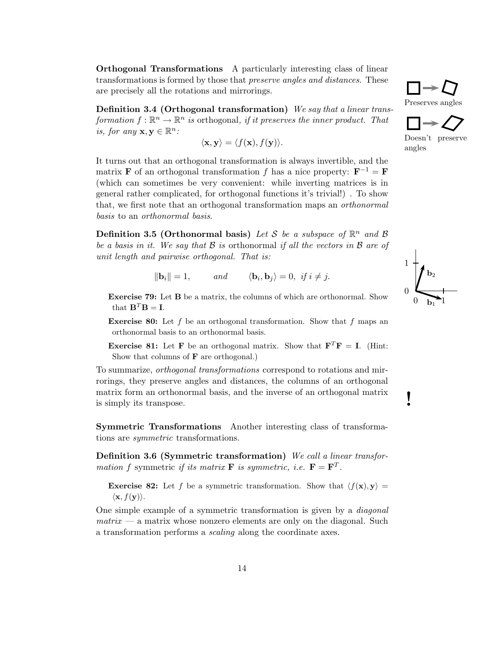**Orthogonal Transformations** A particularly interesting class of linear transformations is formed by those that *preserve angles and distances*. These are precisely all the rotations and mirrorings.

Definition 3.4 (Orthogonal transformation) We say that a linear transformation  $f: \mathbb{R}^n \to \mathbb{R}^n$  is orthogonal, if it preserves the inner product. That is, for any  $\mathbf{x}, \mathbf{y} \in \mathbb{R}^n$ :

$$
\langle \mathbf{x}, \mathbf{y} \rangle = \langle f(\mathbf{x}), f(\mathbf{y}) \rangle.
$$

It turns out that an orthogonal transformation is always invertible, and the matrix **F** of an orthogonal transformation f has a nice property:  $\mathbf{F}^{-1} = \mathbf{F}$ (which can sometimes be very convenient: while inverting matrices is in general rather complicated, for orthogonal functions it's trivial!) . To show that, we first note that an orthogonal transformation maps an orthonormal basis to an orthonormal basis.

Definition 3.5 (Orthonormal basis) Let S be a subspace of  $\mathbb{R}^n$  and B be a basis in it. We say that  $\mathcal B$  is orthonormal if all the vectors in  $\mathcal B$  are of unit length and pairwise orthogonal. That is:

$$
\|\mathbf{b}_i\| = 1, \qquad \text{and} \qquad \langle \mathbf{b}_i, \mathbf{b}_j \rangle = 0, \text{ if } i \neq j.
$$

Exercise 79: Let B be a matrix, the columns of which are orthonormal. Show that  $\mathbf{B}^T \mathbf{B} = \mathbf{I}$ .

**Exercise 80:** Let f be an orthogonal transformation. Show that f maps an orthonormal basis to an orthonormal basis.

**Exercise 81:** Let **F** be an orthogonal matrix. Show that  $\mathbf{F}^T \mathbf{F} = \mathbf{I}$ . (Hint: Show that columns of  $\bf{F}$  are orthogonal.)

To summarize, orthogonal transformations correspond to rotations and mirrorings, they preserve angles and distances, the columns of an orthogonal matrix form an orthonormal basis, and the inverse of an orthogonal matrix is simply its transpose.

Symmetric Transformations Another interesting class of transformations are *symmetric* transformations.

Definition 3.6 (Symmetric transformation) We call a linear transformation f symmetric if its matrix **F** is symmetric, i.e.  $\mathbf{F} = \mathbf{F}^T$ .

**Exercise 82:** Let f be a symmetric transformation. Show that  $\langle f(\mathbf{x}), \mathbf{y} \rangle =$  $\langle \mathbf{x}, f(\mathbf{y}) \rangle$ .

One simple example of a symmetric transformation is given by a diagonal  $matrix - a$  matrix whose nonzero elements are only on the diagonal. Such a transformation performs a *scaling* along the coordinate axes.





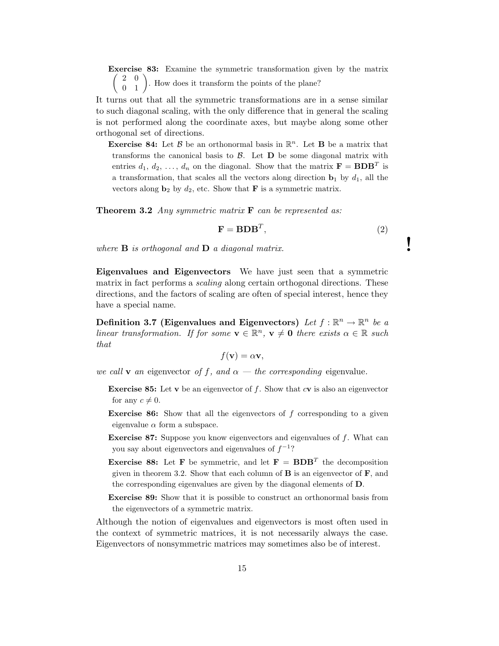Exercise 83: Examine the symmetric transformation given by the matrix  $\begin{pmatrix} 2 & 0 \\ 0 & 1 \end{pmatrix}$ . How does it transform the points of the plane?

It turns out that all the symmetric transformations are in a sense similar to such diagonal scaling, with the only difference that in general the scaling is not performed along the coordinate axes, but maybe along some other orthogonal set of directions.

**Exercise 84:** Let  $\beta$  be an orthonormal basis in  $\mathbb{R}^n$ . Let **B** be a matrix that transforms the canonical basis to  $\mathcal{B}$ . Let  $\mathbf{D}$  be some diagonal matrix with entries  $d_1, d_2, \ldots, d_n$  on the diagonal. Show that the matrix  $\mathbf{F} = \mathbf{B} \mathbf{D} \mathbf{B}^T$  is a transformation, that scales all the vectors along direction  $\mathbf{b}_1$  by  $d_1$ , all the vectors along  $\mathbf{b}_2$  by  $d_2$ , etc. Show that **F** is a symmetric matrix.

**Theorem 3.2** Any symmetric matrix  $\bf{F}$  can be represented as:

$$
\mathbf{F} = \mathbf{B} \mathbf{D} \mathbf{B}^T,\tag{2}
$$

where  $\bf{B}$  is orthogonal and  $\bf{D}$  a diagonal matrix.

Eigenvalues and Eigenvectors We have just seen that a symmetric matrix in fact performs a *scaling* along certain orthogonal directions. These directions, and the factors of scaling are often of special interest, hence they have a special name.

Definition 3.7 (Eigenvalues and Eigenvectors) Let  $f : \mathbb{R}^n \to \mathbb{R}^n$  be a linear transformation. If for some  $\mathbf{v} \in \mathbb{R}^n$ ,  $\mathbf{v} \neq \mathbf{0}$  there exists  $\alpha \in \mathbb{R}$  such that

$$
f(\mathbf{v}) = \alpha \mathbf{v},
$$

we call **v** an eigenvector of f, and  $\alpha$  – the corresponding eigenvalue.

- **Exercise 85:** Let v be an eigenvector of f. Show that  $c$  v is also an eigenvector for any  $c \neq 0$ .
- **Exercise 86:** Show that all the eigenvectors of  $f$  corresponding to a given eigenvalue  $\alpha$  form a subspace.
- **Exercise 87:** Suppose you know eigenvectors and eigenvalues of  $f$ . What can you say about eigenvectors and eigenvalues of  $f^{-1}$ ?
- **Exercise 88:** Let **F** be symmetric, and let **F** = **BDB**<sup>T</sup> the decomposition given in theorem 3.2. Show that each column of  $\bf{B}$  is an eigenvector of  $\bf{F}$ , and the corresponding eigenvalues are given by the diagonal elements of D.
- Exercise 89: Show that it is possible to construct an orthonormal basis from the eigenvectors of a symmetric matrix.

Although the notion of eigenvalues and eigenvectors is most often used in the context of symmetric matrices, it is not necessarily always the case. Eigenvectors of nonsymmetric matrices may sometimes also be of interest.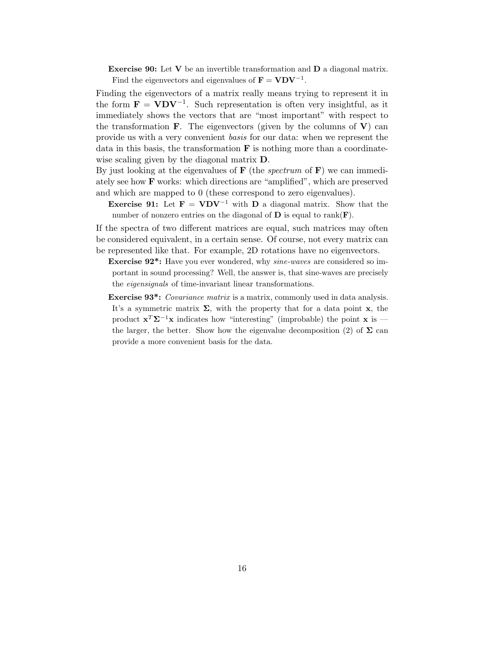**Exercise 90:** Let  $V$  be an invertible transformation and  $D$  a diagonal matrix. Find the eigenvectors and eigenvalues of  $\mathbf{F} = \mathbf{V} \mathbf{D} \mathbf{V}^{-1}$ .

Finding the eigenvectors of a matrix really means trying to represent it in the form  $\mathbf{F} = \mathbf{V} \mathbf{D} \mathbf{V}^{-1}$ . Such representation is often very insightful, as it immediately shows the vectors that are "most important" with respect to the transformation **F**. The eigenvectors (given by the columns of  $V$ ) can provide us with a very convenient basis for our data: when we represent the data in this basis, the transformation  $\bf{F}$  is nothing more than a coordinatewise scaling given by the diagonal matrix **D**.

By just looking at the eigenvalues of  $\bf{F}$  (the *spectrum* of  $\bf{F}$ ) we can immediately see how F works: which directions are "amplified", which are preserved and which are mapped to 0 (these correspond to zero eigenvalues).

**Exercise 91:** Let  $\mathbf{F} = \mathbf{V} \mathbf{D} \mathbf{V}^{-1}$  with  $\mathbf{D}$  a diagonal matrix. Show that the number of nonzero entries on the diagonal of  $D$  is equal to rank( $F$ ).

If the spectra of two different matrices are equal, such matrices may often be considered equivalent, in a certain sense. Of course, not every matrix can be represented like that. For example, 2D rotations have no eigenvectors.

- Exercise 92\*: Have you ever wondered, why sine-waves are considered so important in sound processing? Well, the answer is, that sine-waves are precisely the eigensignals of time-invariant linear transformations.
- **Exercise 93<sup>\*</sup>:** Covariance matrix is a matrix, commonly used in data analysis. It's a symmetric matrix  $\Sigma$ , with the property that for a data point x, the product  $\mathbf{x}^T \mathbf{\Sigma}^{-1} \mathbf{x}$  indicates how "interesting" (improbable) the point  $\mathbf{x}$  is the larger, the better. Show how the eigenvalue decomposition (2) of  $\Sigma$  can provide a more convenient basis for the data.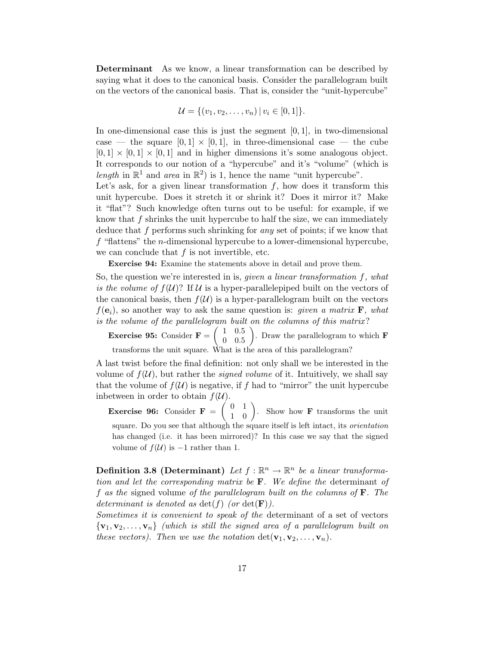Determinant As we know, a linear transformation can be described by saying what it does to the canonical basis. Consider the parallelogram built on the vectors of the canonical basis. That is, consider the "unit-hypercube"

$$
\mathcal{U} = \{ (v_1, v_2, \dots, v_n) \, | \, v_i \in [0,1] \}.
$$

In one-dimensional case this is just the segment  $[0, 1]$ , in two-dimensional case — the square  $[0, 1] \times [0, 1]$ , in three-dimensional case — the cube  $[0, 1] \times [0, 1] \times [0, 1]$  and in higher dimensions it's some analogous object. It corresponds to our notion of a "hypercube" and it's "volume" (which is length in  $\mathbb{R}^1$  and area in  $\mathbb{R}^2$ ) is 1, hence the name "unit hypercube".

Let's ask, for a given linear transformation  $f$ , how does it transform this unit hypercube. Does it stretch it or shrink it? Does it mirror it? Make it "flat"? Such knowledge often turns out to be useful: for example, if we know that  $f$  shrinks the unit hypercube to half the size, we can immediately deduce that f performs such shrinking for any set of points; if we know that  $f$  "flattens" the *n*-dimensional hypercube to a lower-dimensional hypercube, we can conclude that  $f$  is not invertible, etc.

Exercise 94: Examine the statements above in detail and prove them.

So, the question we're interested in is, *given a linear transformation*  $f$ *, what* is the volume of  $f(\mathcal{U})$ ? If U is a hyper-parallelepiped built on the vectors of the canonical basis, then  $f(\mathcal{U})$  is a hyper-parallelogram built on the vectors  $f(\mathbf{e}_i)$ , so another way to ask the same question is: *given a matrix* **F**, what is the volume of the parallelogram built on the columns of this matrix?

**Exercise 95:** Consider  $\mathbf{F} = \begin{pmatrix} 1 & 0.5 \\ 0 & 0.5 \end{pmatrix}$ 0 0.5 ). Draw the parallelogram to which  $\bf{F}$ transforms the unit square. What is the area of this parallelogram?

A last twist before the final definition: not only shall we be interested in the volume of  $f(\mathcal{U})$ , but rather the *signed volume* of it. Intuitively, we shall say that the volume of  $f(\mathcal{U})$  is negative, if f had to "mirror" the unit hypercube indetween in order to obtain  $f(\mathcal{U})$ .

**Exercise 96:** Consider  $\mathbf{F} = \begin{pmatrix} 0 & 1 \\ 1 & 0 \end{pmatrix}$ . Show how **F** transforms the unit square. Do you see that although the square itself is left intact, its orientation has changed (i.e. it has been mirrored)? In this case we say that the signed volume of  $f(U)$  is  $-1$  rather than 1.

**Definition 3.8 (Determinant)** Let  $f : \mathbb{R}^n \to \mathbb{R}^n$  be a linear transformation and let the corresponding matrix be  $\bf{F}$ . We define the determinant of f as the signed volume of the parallelogram built on the columns of  $\bf{F}$ . The determinant is denoted as  $\det(f)$  (or  $\det(\mathbf{F})$ ).

Sometimes it is convenient to speak of the determinant of a set of vectors  ${v_1, v_2, \ldots, v_n}$  (which is still the signed area of a parallelogram built on these vectors). Then we use the notation  $\det(\mathbf{v}_1, \mathbf{v}_2, \dots, \mathbf{v}_n)$ .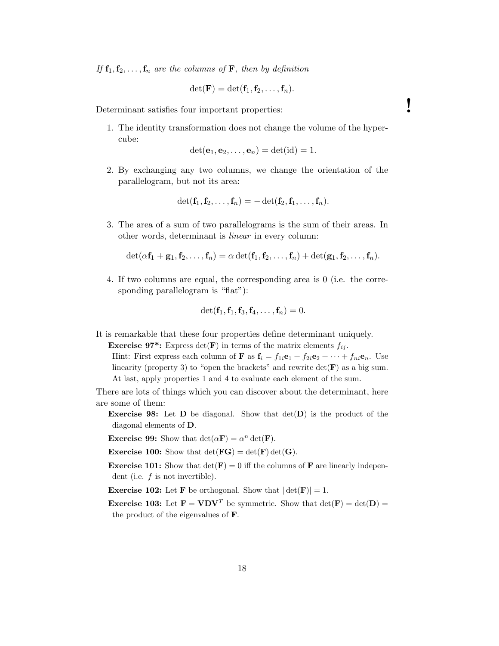If  $f_1, f_2, \ldots, f_n$  are the columns of **F**, then by definition

$$
\det(\mathbf{F})=\det(\mathbf{f}_1,\mathbf{f}_2,\ldots,\mathbf{f}_n).
$$

Determinant satisfies four important properties:

1. The identity transformation does not change the volume of the hypercube:

$$
\det(\mathbf{e}_1, \mathbf{e}_2, \dots, \mathbf{e}_n) = \det(\mathrm{id}) = 1.
$$

2. By exchanging any two columns, we change the orientation of the parallelogram, but not its area:

$$
\det(\mathbf{f}_1, \mathbf{f}_2, \ldots, \mathbf{f}_n) = -\det(\mathbf{f}_2, \mathbf{f}_1, \ldots, \mathbf{f}_n).
$$

3. The area of a sum of two parallelograms is the sum of their areas. In other words, determinant is linear in every column:

$$
\det(\alpha \mathbf{f}_1 + \mathbf{g}_1, \mathbf{f}_2, \ldots, \mathbf{f}_n) = \alpha \det(\mathbf{f}_1, \mathbf{f}_2, \ldots, \mathbf{f}_n) + \det(\mathbf{g}_1, \mathbf{f}_2, \ldots, \mathbf{f}_n).
$$

4. If two columns are equal, the corresponding area is 0 (i.e. the corresponding parallelogram is "flat"):

$$
\det(\mathbf{f}_1, \mathbf{f}_1, \mathbf{f}_3, \mathbf{f}_4, \ldots, \mathbf{f}_n) = 0.
$$

It is remarkable that these four properties define determinant uniquely.

**Exercise 97\*:** Express det(F) in terms of the matrix elements  $f_{ij}$ .

Hint: First express each column of **F** as  $\mathbf{f}_i = f_{1i} \mathbf{e}_1 + f_{2i} \mathbf{e}_2 + \cdots + f_{ni} \mathbf{e}_n$ . Use linearity (property 3) to "open the brackets" and rewrite  $\det(\mathbf{F})$  as a big sum. At last, apply properties 1 and 4 to evaluate each element of the sum.

There are lots of things which you can discover about the determinant, here are some of them:

**Exercise 98:** Let  $D$  be diagonal. Show that  $det(D)$  is the product of the diagonal elements of D.

**Exercise 99:** Show that  $\det(\alpha \mathbf{F}) = \alpha^n \det(\mathbf{F})$ .

**Exercise 100:** Show that  $det(\mathbf{FG}) = det(\mathbf{F}) det(\mathbf{G}).$ 

**Exercise 101:** Show that  $det(\mathbf{F}) = 0$  iff the columns of **F** are linearly independent (i.e.  $f$  is not invertible).

**Exercise 102:** Let **F** be orthogonal. Show that  $|\det(\mathbf{F})| = 1$ .

**Exercise 103:** Let  $\mathbf{F} = \mathbf{V} \mathbf{D} \mathbf{V}^T$  be symmetric. Show that  $\det(\mathbf{F}) = \det(\mathbf{D}) =$ the product of the eigenvalues of F.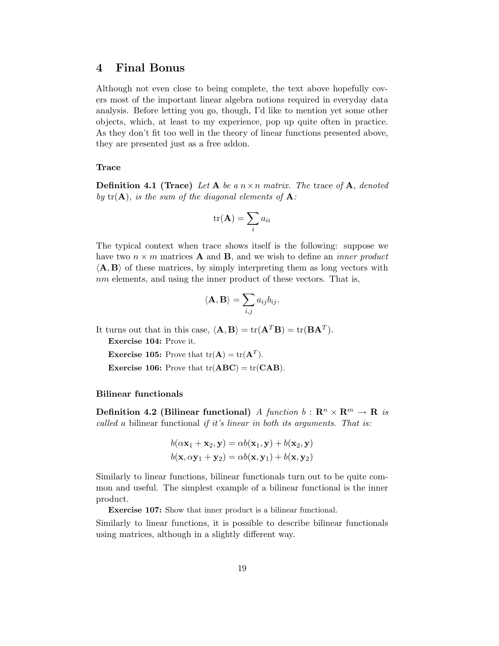### 4 Final Bonus

Although not even close to being complete, the text above hopefully covers most of the important linear algebra notions required in everyday data analysis. Before letting you go, though, I'd like to mention yet some other objects, which, at least to my experience, pop up quite often in practice. As they don't fit too well in the theory of linear functions presented above, they are presented just as a free addon.

### Trace

**Definition 4.1 (Trace)** Let A be a  $n \times n$  matrix. The trace of A, denoted by  $tr(A)$ , is the sum of the diagonal elements of  $A$ :

$$
\mathrm{tr}(\mathbf{A})=\sum_i a_{ii}
$$

The typical context when trace shows itself is the following: suppose we have two  $n \times m$  matrices **A** and **B**, and we wish to define an *inner product*  $\langle \mathbf{A}, \mathbf{B} \rangle$  of these matrices, by simply interpreting them as long vectors with nm elements, and using the inner product of these vectors. That is,

$$
\langle \mathbf{A}, \mathbf{B} \rangle = \sum_{i,j} a_{ij} b_{ij}.
$$

It turns out that in this case,  $\langle \mathbf{A}, \mathbf{B} \rangle = \text{tr}(\mathbf{A}^T \mathbf{B}) = \text{tr}(\mathbf{B} \mathbf{A}^T).$ 

Exercise 104: Prove it.

**Exercise 105:** Prove that  $tr(A) = tr(A^T)$ .

**Exercise 106:** Prove that  $tr(ABC) = tr(CAB)$ .

#### Bilinear functionals

**Definition 4.2 (Bilinear functional)** A function  $b : \mathbb{R}^n \times \mathbb{R}^m \to \mathbb{R}$  is called a bilinear functional if it's linear in both its arguments. That is:

$$
b(\alpha \mathbf{x}_1 + \mathbf{x}_2, \mathbf{y}) = \alpha b(\mathbf{x}_1, \mathbf{y}) + b(\mathbf{x}_2, \mathbf{y})
$$
  

$$
b(\mathbf{x}, \alpha \mathbf{y}_1 + \mathbf{y}_2) = \alpha b(\mathbf{x}, \mathbf{y}_1) + b(\mathbf{x}, \mathbf{y}_2)
$$

Similarly to linear functions, bilinear functionals turn out to be quite common and useful. The simplest example of a bilinear functional is the inner product.

Exercise 107: Show that inner product is a bilinear functional.

Similarly to linear functions, it is possible to describe bilinear functionals using matrices, although in a slightly different way.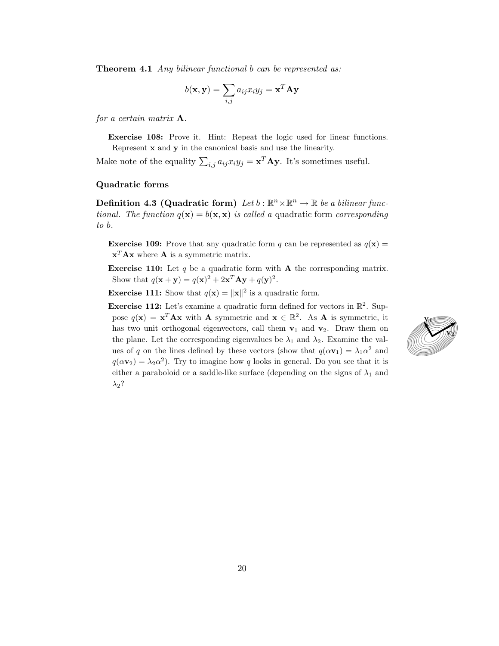**Theorem 4.1** Any bilinear functional b can be represented as:

$$
b(\mathbf{x}, \mathbf{y}) = \sum_{i,j} a_{ij} x_i y_j = \mathbf{x}^T \mathbf{A} \mathbf{y}
$$

for a certain matrix A.

Exercise 108: Prove it. Hint: Repeat the logic used for linear functions. Represent x and y in the canonical basis and use the linearity.

Make note of the equality  $\sum_{i,j} a_{ij} x_i y_j = \mathbf{x}^T \mathbf{A} \mathbf{y}$ . It's sometimes useful.

#### Quadratic forms

Definition 4.3 (Quadratic form) Let  $b : \mathbb{R}^n \times \mathbb{R}^n \to \mathbb{R}$  be a bilinear functional. The function  $q(x) = b(x, x)$  is called a quadratic form corresponding to b.

**Exercise 109:** Prove that any quadratic form q can be represented as  $q(\mathbf{x}) =$  $\mathbf{x}^T \mathbf{A} \mathbf{x}$  where  $\mathbf{A}$  is a symmetric matrix.

**Exercise 110:** Let  $q$  be a quadratic form with **A** the corresponding matrix. Show that  $q(\mathbf{x} + \mathbf{y}) = q(\mathbf{x})^2 + 2\mathbf{x}^T \mathbf{A} \mathbf{y} + q(\mathbf{y})^2$ .

**Exercise 111:** Show that  $q(\mathbf{x}) = ||\mathbf{x}||^2$  is a quadratic form.

**Exercise 112:** Let's examine a quadratic form defined for vectors in  $\mathbb{R}^2$ . Suppose  $q(\mathbf{x}) = \mathbf{x}^T \mathbf{A} \mathbf{x}$  with **A** symmetric and  $\mathbf{x} \in \mathbb{R}^2$ . As **A** is symmetric, it has two unit orthogonal eigenvectors, call them  $v_1$  and  $v_2$ . Draw them on the plane. Let the corresponding eigenvalues be  $\lambda_1$  and  $\lambda_2$ . Examine the values of q on the lines defined by these vectors (show that  $q(\alpha \mathbf{v}_1) = \lambda_1 \alpha^2$  and  $q(\alpha \mathbf{v}_2) = \lambda_2 \alpha^2$ ). Try to imagine how q looks in general. Do you see that it is either a paraboloid or a saddle-like surface (depending on the signs of  $\lambda_1$  and  $\lambda_2$ ?